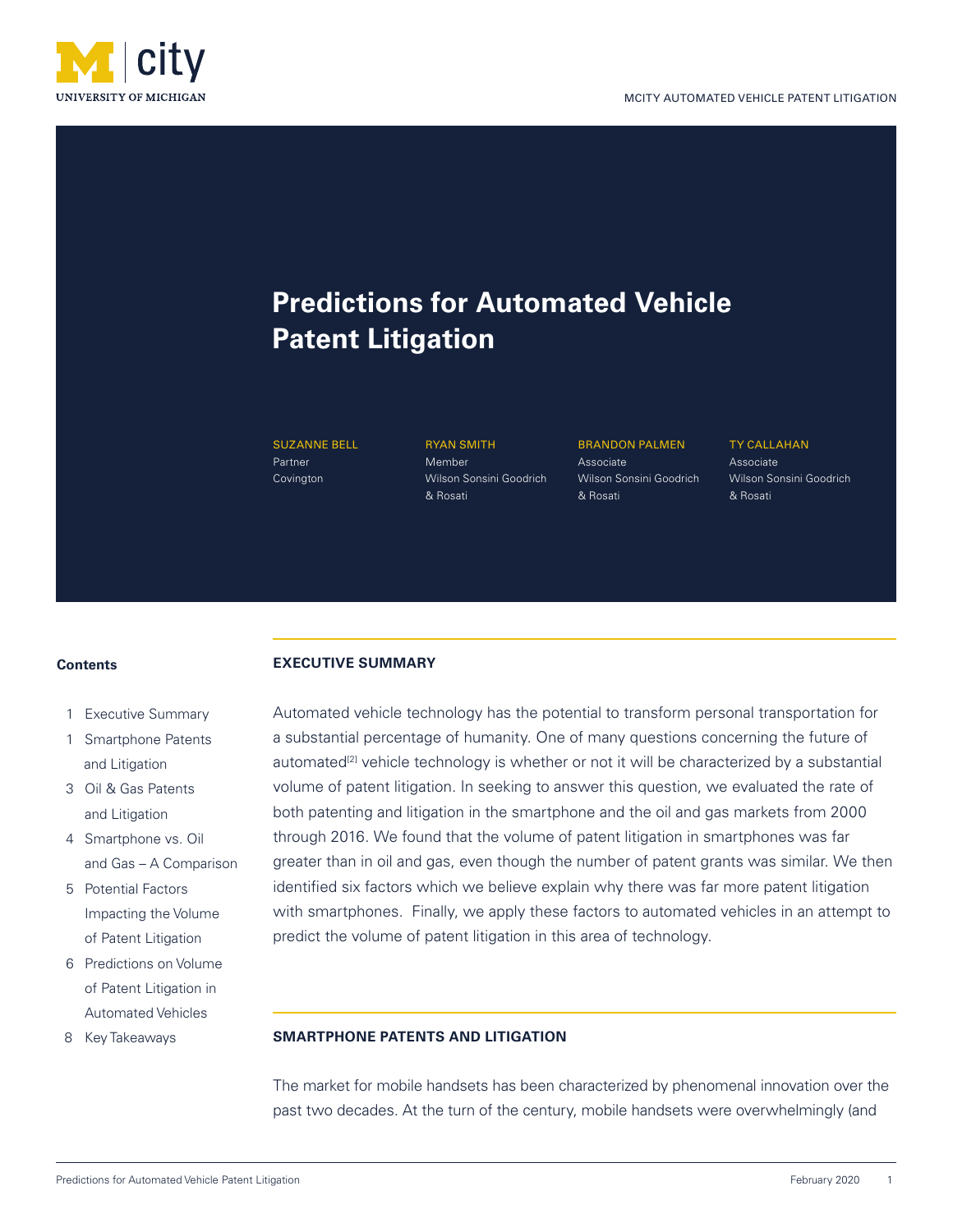

# **Predictions for Automated Vehicle Patent Litigation**

SUZANNE BELL **Partner** Covington

RYAN SMITH Member Wilson Sonsini Goodrich & Rosati

BRANDON PALMEN Associate Wilson Sonsini Goodrich & Rosati

TY CALLAHAN Associate Wilson Sonsini Goodrich & Rosati

#### **Contents**

- 1 Executive Summary
- 1 Smartphone Patents and Litigation
- 3 Oil & Gas Patents and Litigation
- 4 Smartphone vs. Oil and Gas – A Comparison
- 5 Potential Factors Impacting the Volume of Patent Litigation
- 6 Predictions on Volume of Patent Litigation in Automated Vehicles
- 8 Key Takeaways

# **EXECUTIVE SUMMARY**

Automated vehicle technology has the potential to transform personal transportation for a substantial percentage of humanity. One of many questions concerning the future of automated<sup>[2]</sup> vehicle technology is whether or not it will be characterized by a substantial volume of patent litigation. In seeking to answer this question, we evaluated the rate of both patenting and litigation in the smartphone and the oil and gas markets from 2000 through 2016. We found that the volume of patent litigation in smartphones was far greater than in oil and gas, even though the number of patent grants was similar. We then identified six factors which we believe explain why there was far more patent litigation with smartphones. Finally, we apply these factors to automated vehicles in an attempt to predict the volume of patent litigation in this area of technology.

## **SMARTPHONE PATENTS AND LITIGATION**

The market for mobile handsets has been characterized by phenomenal innovation over the past two decades. At the turn of the century, mobile handsets were overwhelmingly (and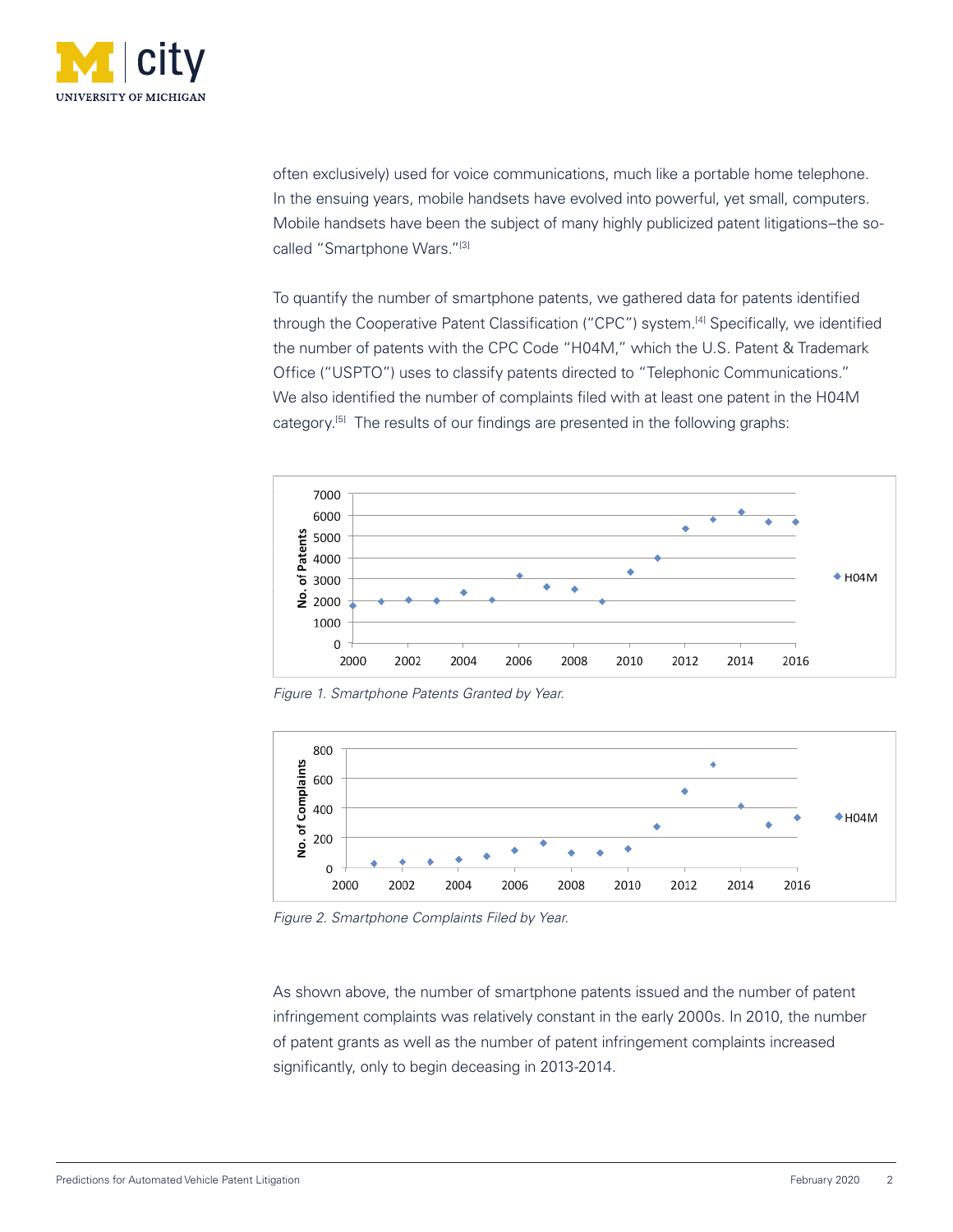

often exclusively) used for voice communications, much like a portable home telephone. In the ensuing years, mobile handsets have evolved into powerful, yet small, computers. Mobile handsets have been the subject of many highly publicized patent litigations–the socalled "Smartphone Wars."[3]

To quantify the number of smartphone patents, we gathered data for patents identified through the Cooperative Patent Classification ("CPC") system.<sup>[4]</sup> Specifically, we identified the number of patents with the CPC Code "H04M," which the U.S. Patent & Trademark Office ("USPTO") uses to classify patents directed to "Telephonic Communications." We also identified the number of complaints filed with at least one patent in the H04M category.<sup>[5]</sup> The results of our findings are presented in the following graphs:



*Figure 1. Smartphone Patents Granted by Year.*



*Figure 2. Smartphone Complaints Filed by Year.*

As shown above, the number of smartphone patents issued and the number of patent infringement complaints was relatively constant in the early 2000s. In 2010, the number of patent grants as well as the number of patent infringement complaints increased significantly, only to begin deceasing in 2013-2014.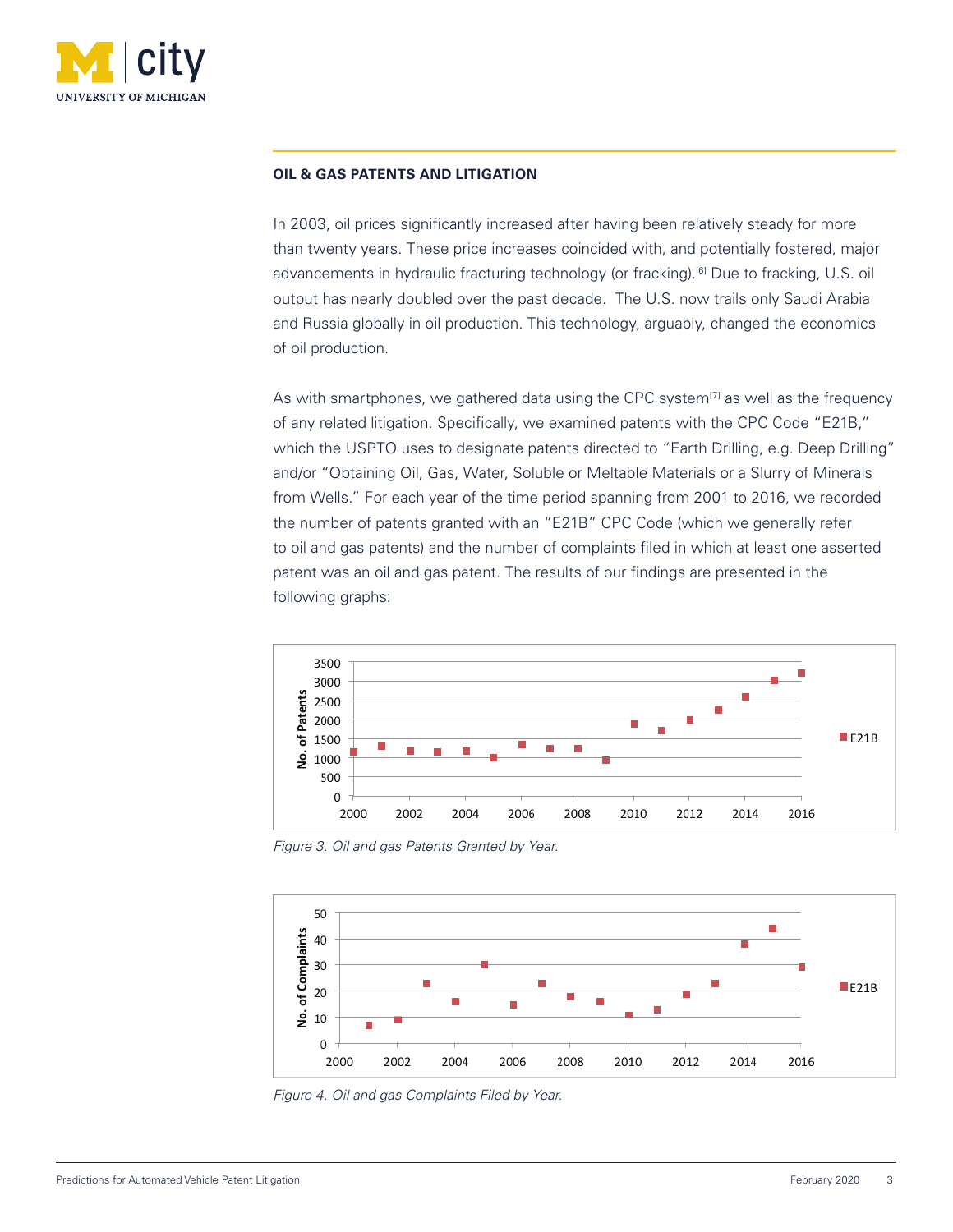

#### **OIL & GAS PATENTS AND LITIGATION**

In 2003, oil prices significantly increased after having been relatively steady for more than twenty years. These price increases coincided with, and potentially fostered, major advancements in hydraulic fracturing technology (or fracking).<sup>[6]</sup> Due to fracking, U.S. oil output has nearly doubled over the past decade. The U.S. now trails only Saudi Arabia and Russia globally in oil production. This technology, arguably, changed the economics of oil production.

As with smartphones, we gathered data using the CPC system $<sup>[7]</sup>$  as well as the frequency</sup> of any related litigation. Specifically, we examined patents with the CPC Code "E21B," which the USPTO uses to designate patents directed to "Earth Drilling, e.g. Deep Drilling" and/or "Obtaining Oil, Gas, Water, Soluble or Meltable Materials or a Slurry of Minerals from Wells." For each year of the time period spanning from 2001 to 2016, we recorded the number of patents granted with an "E21B" CPC Code (which we generally refer to oil and gas patents) and the number of complaints filed in which at least one asserted patent was an oil and gas patent. The results of our findings are presented in the following graphs:



*Figure 3. Oil and gas Patents Granted by Year.*



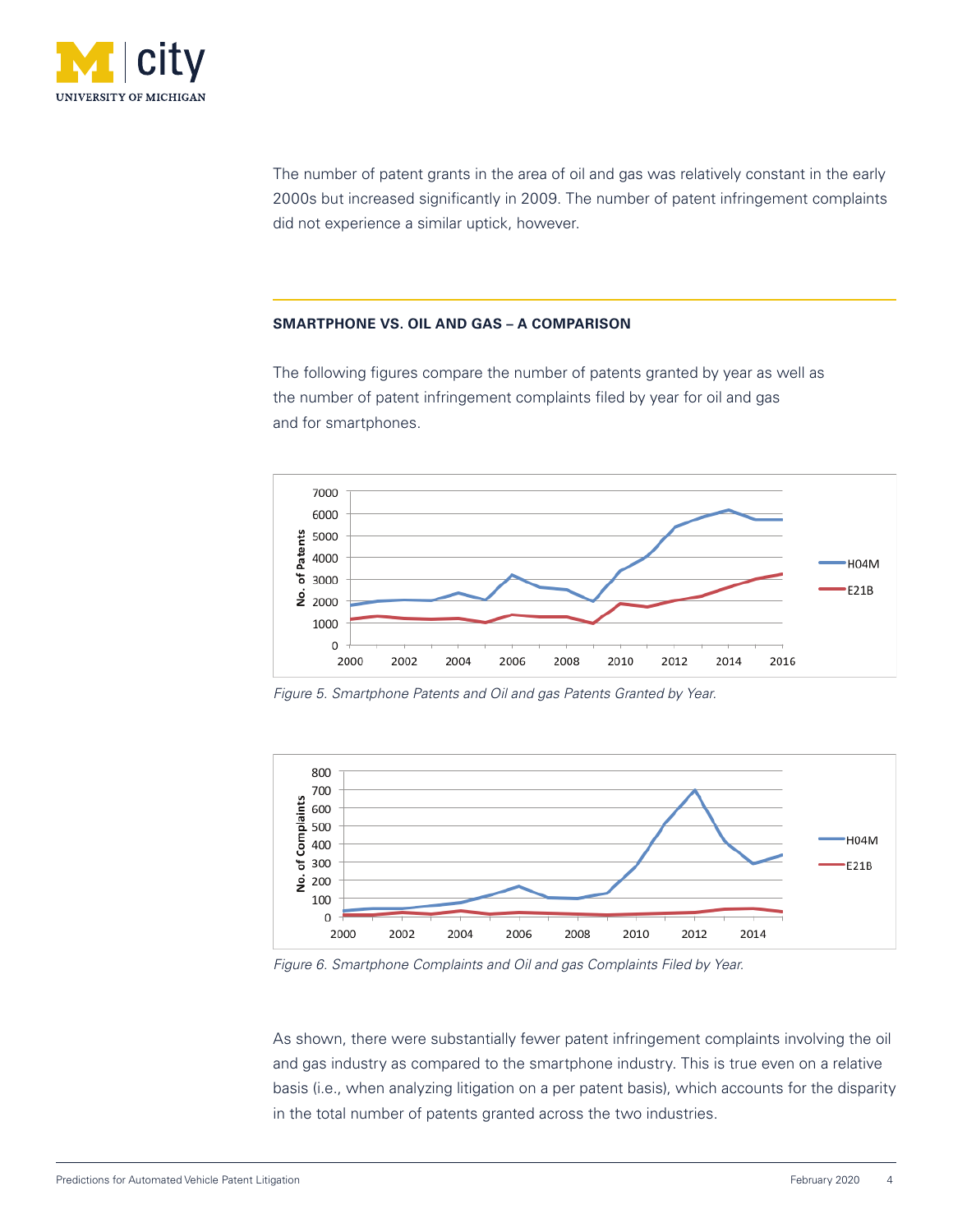

The number of patent grants in the area of oil and gas was relatively constant in the early 2000s but increased significantly in 2009. The number of patent infringement complaints did not experience a similar uptick, however.

#### **SMARTPHONE VS. OIL AND GAS – A COMPARISON**

The following figures compare the number of patents granted by year as well as the number of patent infringement complaints filed by year for oil and gas and for smartphones.



*Figure 5. Smartphone Patents and Oil and gas Patents Granted by Year.*



*Figure 6. Smartphone Complaints and Oil and gas Complaints Filed by Year.*

As shown, there were substantially fewer patent infringement complaints involving the oil and gas industry as compared to the smartphone industry. This is true even on a relative basis (i.e., when analyzing litigation on a per patent basis), which accounts for the disparity in the total number of patents granted across the two industries.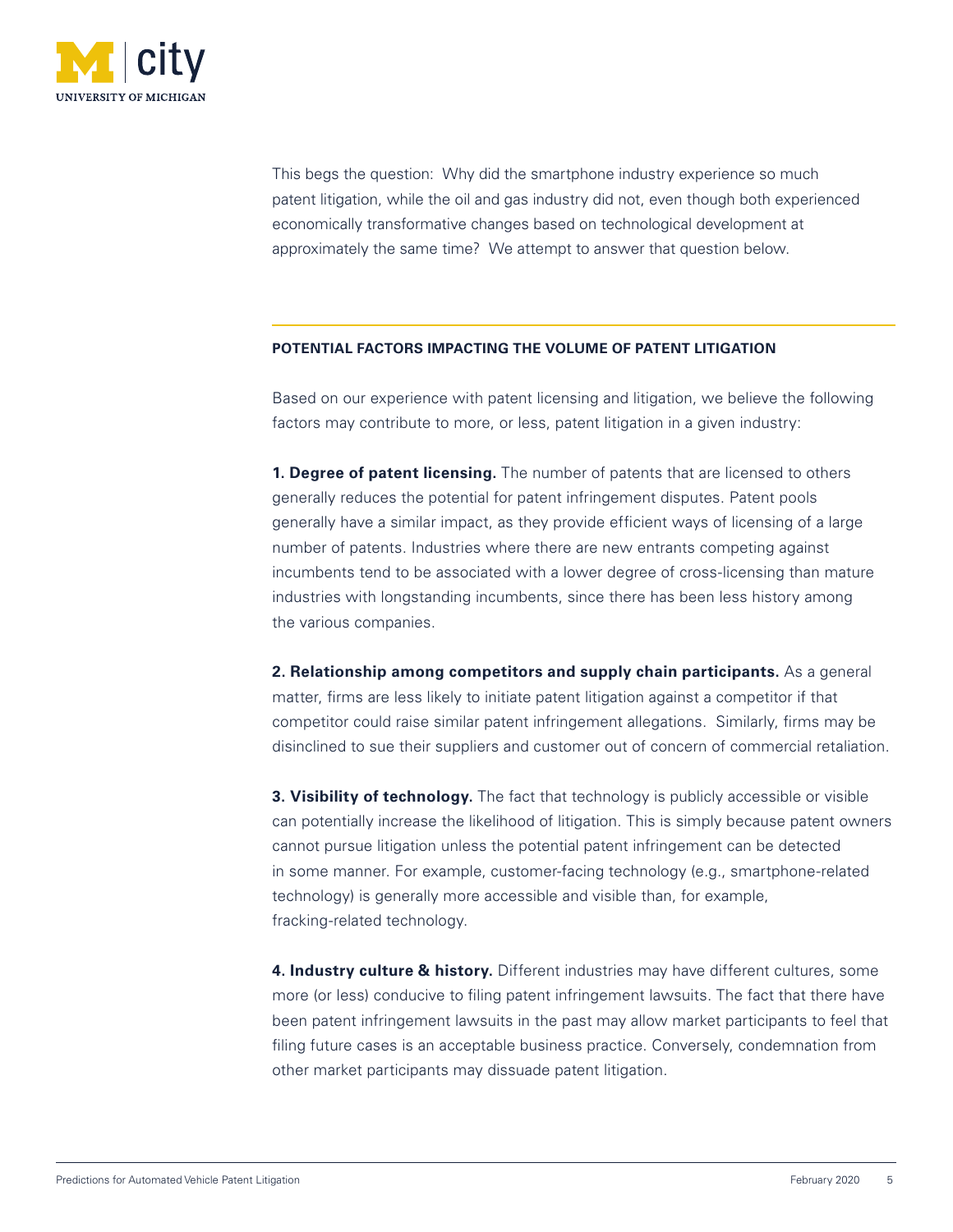

This begs the question: Why did the smartphone industry experience so much patent litigation, while the oil and gas industry did not, even though both experienced economically transformative changes based on technological development at approximately the same time? We attempt to answer that question below.

#### **POTENTIAL FACTORS IMPACTING THE VOLUME OF PATENT LITIGATION**

Based on our experience with patent licensing and litigation, we believe the following factors may contribute to more, or less, patent litigation in a given industry:

**1. Degree of patent licensing.** The number of patents that are licensed to others generally reduces the potential for patent infringement disputes. Patent pools generally have a similar impact, as they provide efficient ways of licensing of a large number of patents. Industries where there are new entrants competing against incumbents tend to be associated with a lower degree of cross-licensing than mature industries with longstanding incumbents, since there has been less history among the various companies.

**2. Relationship among competitors and supply chain participants.** As a general matter, firms are less likely to initiate patent litigation against a competitor if that competitor could raise similar patent infringement allegations. Similarly, firms may be disinclined to sue their suppliers and customer out of concern of commercial retaliation.

**3. Visibility of technology.** The fact that technology is publicly accessible or visible can potentially increase the likelihood of litigation. This is simply because patent owners cannot pursue litigation unless the potential patent infringement can be detected in some manner. For example, customer-facing technology (e.g., smartphone-related technology) is generally more accessible and visible than, for example, fracking-related technology.

**4. Industry culture & history.** Different industries may have different cultures, some more (or less) conducive to filing patent infringement lawsuits. The fact that there have been patent infringement lawsuits in the past may allow market participants to feel that filing future cases is an acceptable business practice. Conversely, condemnation from other market participants may dissuade patent litigation.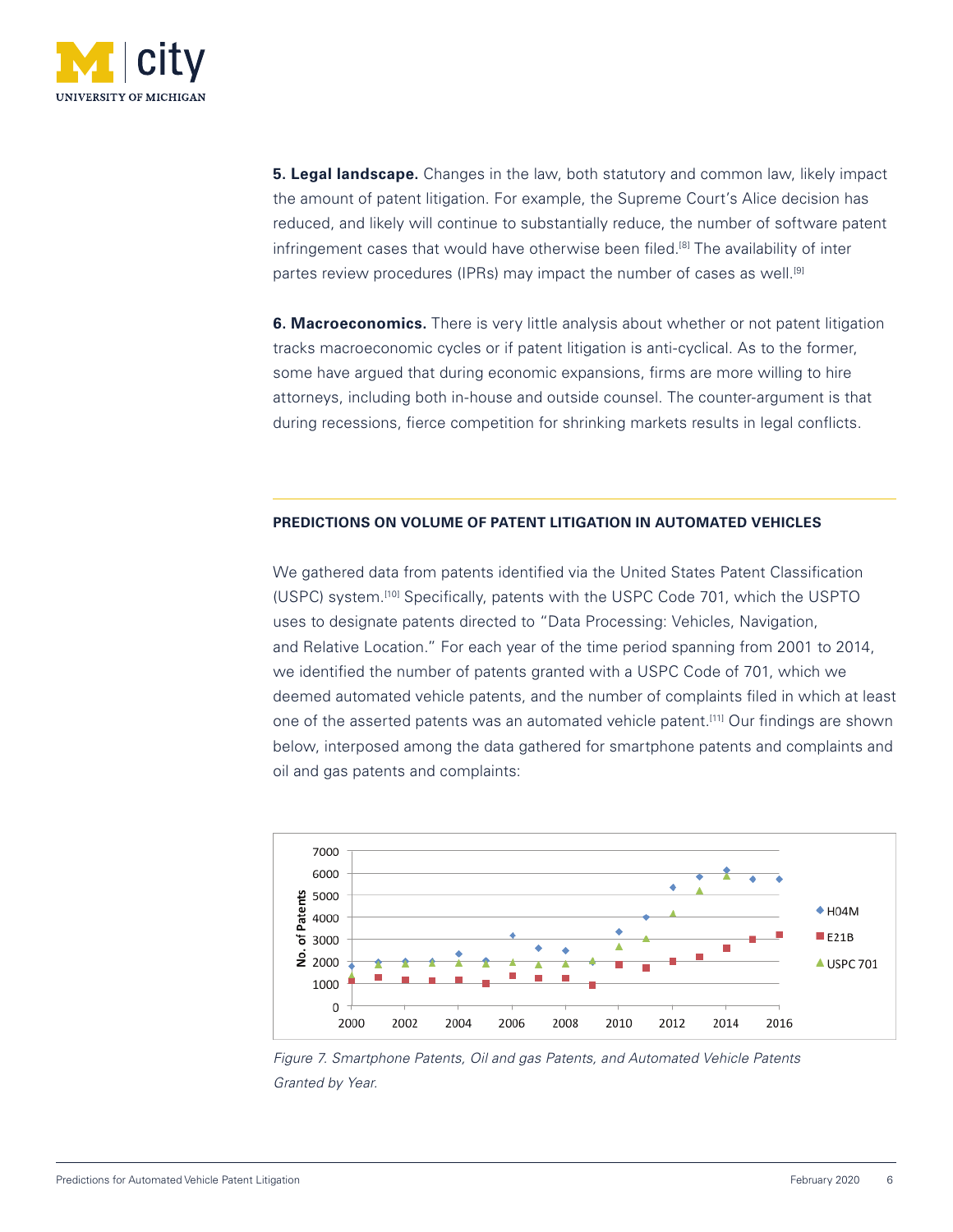

**5. Legal landscape.** Changes in the law, both statutory and common law, likely impact the amount of patent litigation. For example, the Supreme Court's Alice decision has reduced, and likely will continue to substantially reduce, the number of software patent infringement cases that would have otherwise been filed.<sup>[8]</sup> The availability of inter partes review procedures (IPRs) may impact the number of cases as well.<sup>[9]</sup>

**6. Macroeconomics.** There is very little analysis about whether or not patent litigation tracks macroeconomic cycles or if patent litigation is anti-cyclical. As to the former, some have argued that during economic expansions, firms are more willing to hire attorneys, including both in-house and outside counsel. The counter-argument is that during recessions, fierce competition for shrinking markets results in legal conflicts.

### **PREDICTIONS ON VOLUME OF PATENT LITIGATION IN AUTOMATED VEHICLES**

We gathered data from patents identified via the United States Patent Classification (USPC) system.[10] Specifically, patents with the USPC Code 701, which the USPTO uses to designate patents directed to "Data Processing: Vehicles, Navigation, and Relative Location." For each year of the time period spanning from 2001 to 2014, we identified the number of patents granted with a USPC Code of 701, which we deemed automated vehicle patents, and the number of complaints filed in which at least one of the asserted patents was an automated vehicle patent.[11] Our findings are shown below, interposed among the data gathered for smartphone patents and complaints and oil and gas patents and complaints:



*Figure 7. Smartphone Patents, Oil and gas Patents, and Automated Vehicle Patents Granted by Year.*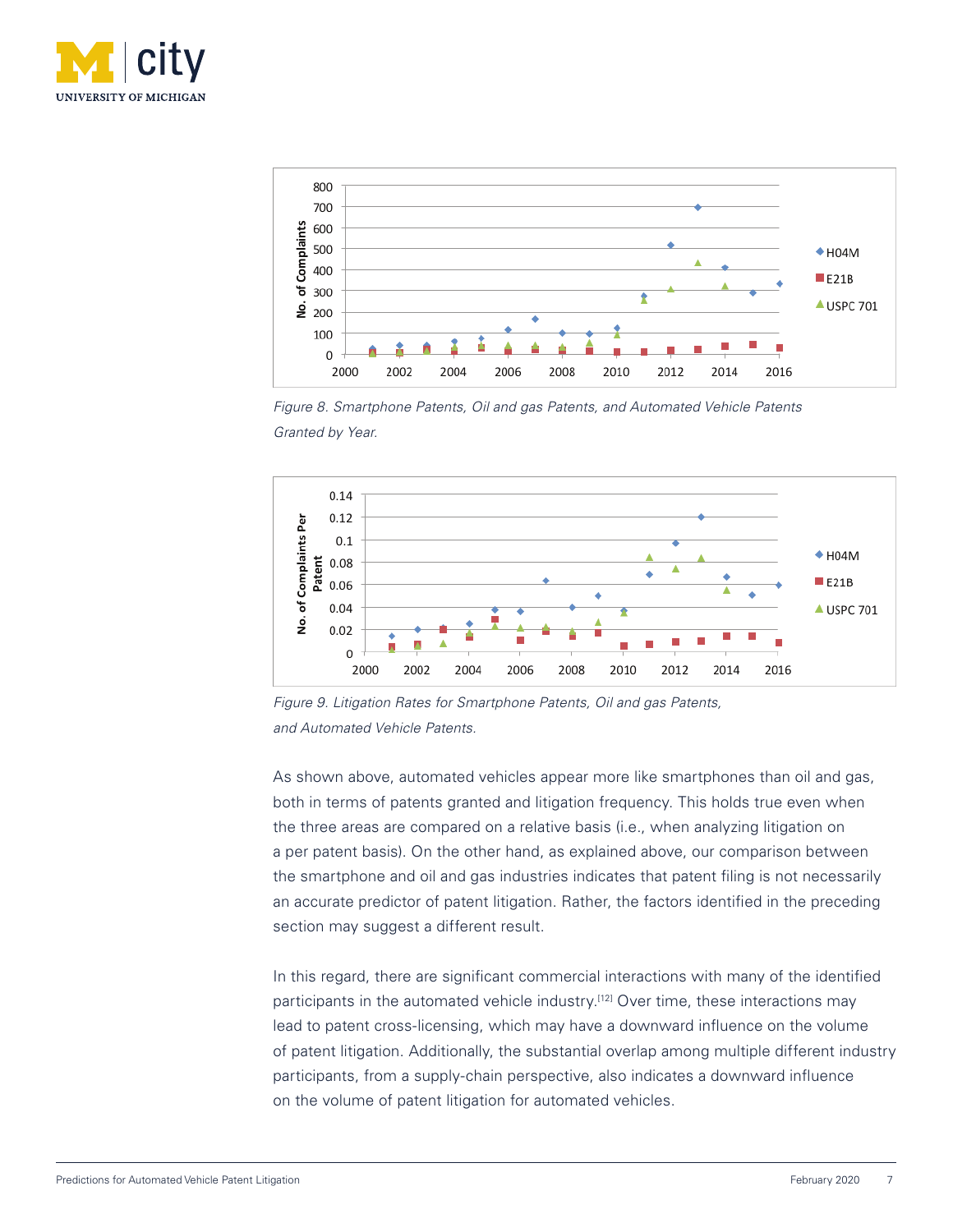



*Figure 8. Smartphone Patents, Oil and gas Patents, and Automated Vehicle Patents Granted by Year.*



*Figure 9. Litigation Rates for Smartphone Patents, Oil and gas Patents, and Automated Vehicle Patents.* 

As shown above, automated vehicles appear more like smartphones than oil and gas, both in terms of patents granted and litigation frequency. This holds true even when the three areas are compared on a relative basis (i.e., when analyzing litigation on a per patent basis). On the other hand, as explained above, our comparison between the smartphone and oil and gas industries indicates that patent filing is not necessarily an accurate predictor of patent litigation. Rather, the factors identified in the preceding section may suggest a different result.

In this regard, there are significant commercial interactions with many of the identified participants in the automated vehicle industry.<sup>[12]</sup> Over time, these interactions may lead to patent cross-licensing, which may have a downward influence on the volume of patent litigation. Additionally, the substantial overlap among multiple different industry participants, from a supply-chain perspective, also indicates a downward influence on the volume of patent litigation for automated vehicles.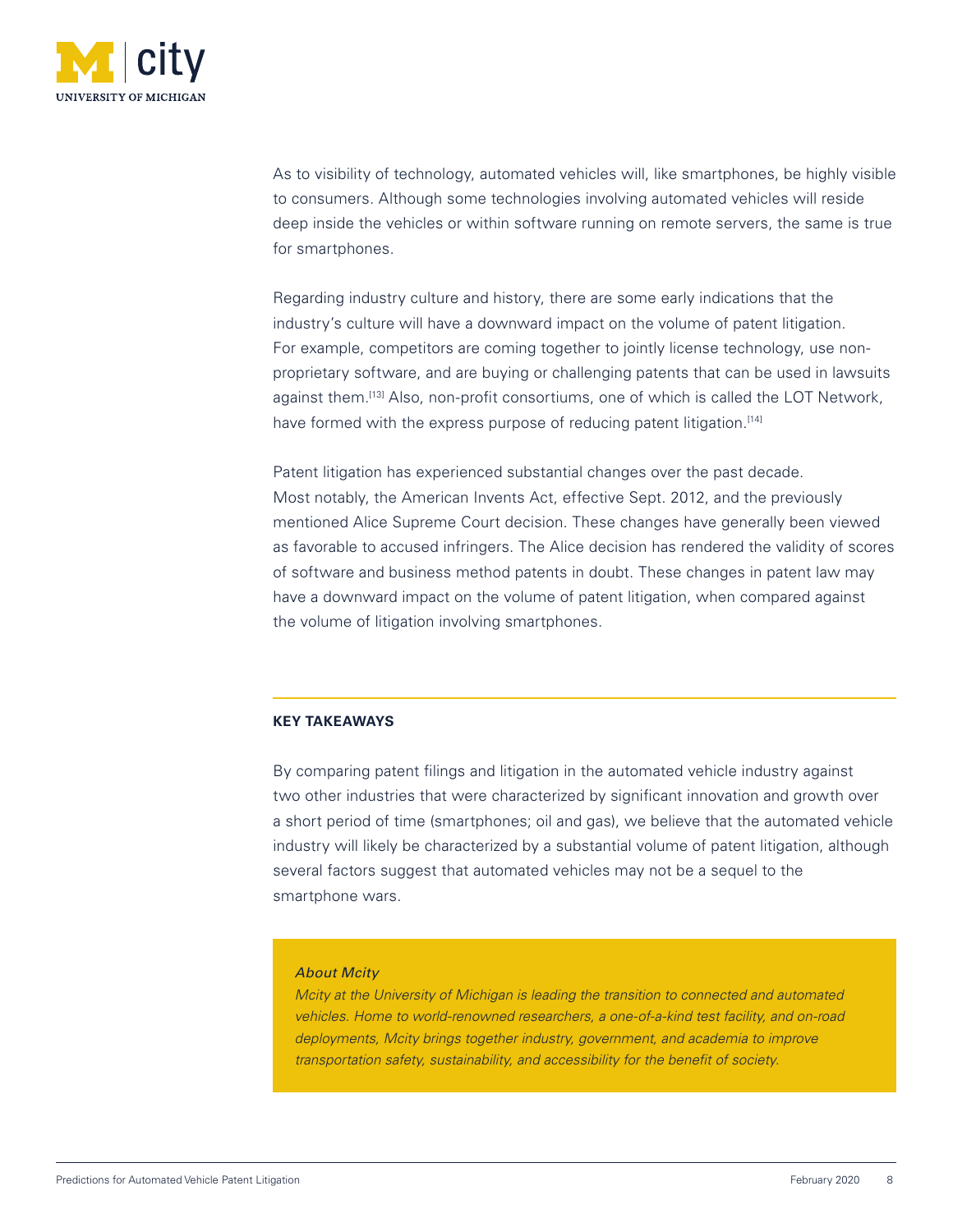

As to visibility of technology, automated vehicles will, like smartphones, be highly visible to consumers. Although some technologies involving automated vehicles will reside deep inside the vehicles or within software running on remote servers, the same is true for smartphones.

Regarding industry culture and history, there are some early indications that the industry's culture will have a downward impact on the volume of patent litigation. For example, competitors are coming together to jointly license technology, use nonproprietary software, and are buying or challenging patents that can be used in lawsuits against them.<sup>[13]</sup> Also, non-profit consortiums, one of which is called the LOT Network, have formed with the express purpose of reducing patent litigation.<sup>[14]</sup>

Patent litigation has experienced substantial changes over the past decade. Most notably, the American Invents Act, effective Sept. 2012, and the previously mentioned Alice Supreme Court decision. These changes have generally been viewed as favorable to accused infringers. The Alice decision has rendered the validity of scores of software and business method patents in doubt. These changes in patent law may have a downward impact on the volume of patent litigation, when compared against the volume of litigation involving smartphones.

#### **KEY TAKEAWAYS**

By comparing patent filings and litigation in the automated vehicle industry against two other industries that were characterized by significant innovation and growth over a short period of time (smartphones; oil and gas), we believe that the automated vehicle industry will likely be characterized by a substantial volume of patent litigation, although several factors suggest that automated vehicles may not be a sequel to the smartphone wars.

#### *About Mcity*

*Mcity at the University of Michigan is leading the transition to connected and automated vehicles. Home to world-renowned researchers, a one-of-a-kind test facility, and on-road deployments, Mcity brings together industry, government, and academia to improve transportation safety, sustainability, and accessibility for the benefit of society.*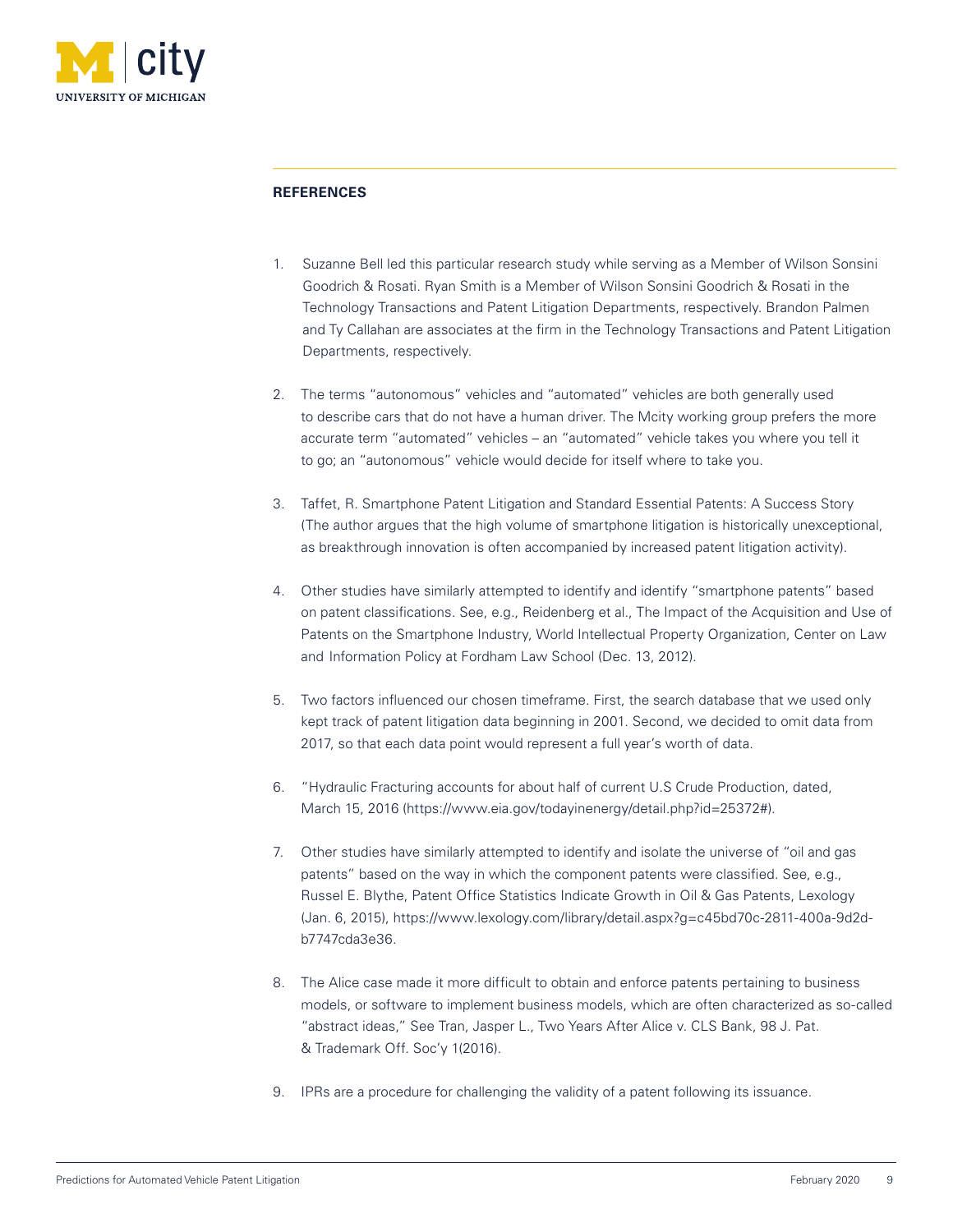

## **REFERENCES**

- 1. Suzanne Bell led this particular research study while serving as a Member of Wilson Sonsini Goodrich & Rosati. Ryan Smith is a Member of Wilson Sonsini Goodrich & Rosati in the Technology Transactions and Patent Litigation Departments, respectively. Brandon Palmen and Ty Callahan are associates at the firm in the Technology Transactions and Patent Litigation Departments, respectively.
- 2. The terms "autonomous" vehicles and "automated" vehicles are both generally used to describe cars that do not have a human driver. The Mcity working group prefers the more accurate term "automated" vehicles – an "automated" vehicle takes you where you tell it to go; an "autonomous" vehicle would decide for itself where to take you.
- 3. Taffet, R. Smartphone Patent Litigation and Standard Essential Patents: A Success Story (The author argues that the high volume of smartphone litigation is historically unexceptional, as breakthrough innovation is often accompanied by increased patent litigation activity).
- 4. Other studies have similarly attempted to identify and identify "smartphone patents" based on patent classifications. See, e.g., Reidenberg et al., The Impact of the Acquisition and Use of Patents on the Smartphone Industry, World Intellectual Property Organization, Center on Law and Information Policy at Fordham Law School (Dec. 13, 2012).
- 5. Two factors influenced our chosen timeframe. First, the search database that we used only kept track of patent litigation data beginning in 2001. Second, we decided to omit data from 2017, so that each data point would represent a full year's worth of data.
- 6. "Hydraulic Fracturing accounts for about half of current U.S Crude Production, dated, March 15, 2016 (https://www.eia.gov/todayinenergy/detail.php?id=25372#).
- 7. Other studies have similarly attempted to identify and isolate the universe of "oil and gas patents" based on the way in which the component patents were classified. See, e.g., Russel E. Blythe, Patent Office Statistics Indicate Growth in Oil & Gas Patents, Lexology (Jan. 6, 2015), https://www.lexology.com/library/detail.aspx?g=c45bd70c-2811-400a-9d2db7747cda3e36.
- 8. The Alice case made it more difficult to obtain and enforce patents pertaining to business models, or software to implement business models, which are often characterized as so-called "abstract ideas," See Tran, Jasper L., Two Years After Alice v. CLS Bank, 98 J. Pat. & Trademark Off. Soc'y 1(2016).
- 9. IPRs are a procedure for challenging the validity of a patent following its issuance.